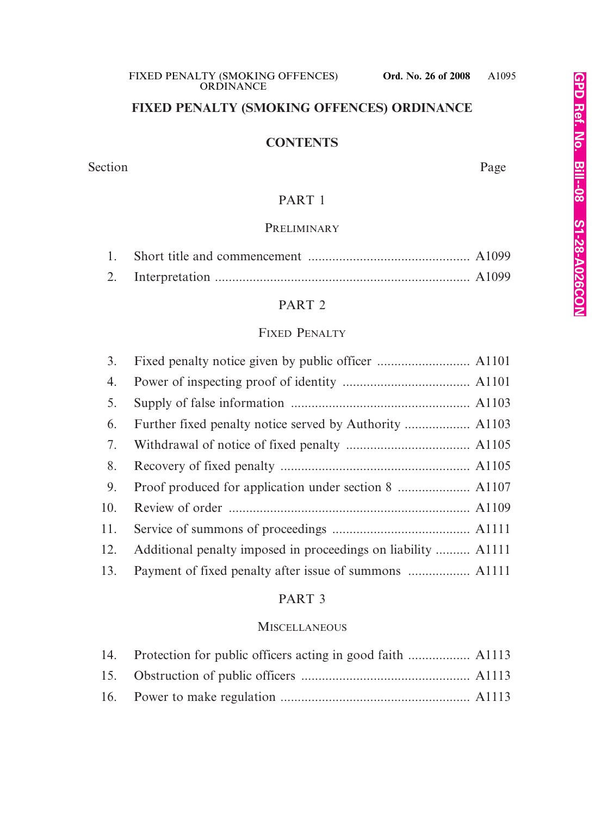# **FIXED PENALTY (SMOKING OFFENCES) ORDINANCE**

# **CONTENTS**

#### Section Page

# PART 1

# **PRELIMINARY**

# PART 2

# FIXED PENALTY

| 3.  |                                                               |
|-----|---------------------------------------------------------------|
| 4.  |                                                               |
| 5.  |                                                               |
| 6.  |                                                               |
| 7.  |                                                               |
| 8.  |                                                               |
| 9.  |                                                               |
| 10. |                                                               |
| 11. |                                                               |
| 12. | Additional penalty imposed in proceedings on liability  A1111 |
| 13. |                                                               |

# PART 3

# **MISCELLANEOUS**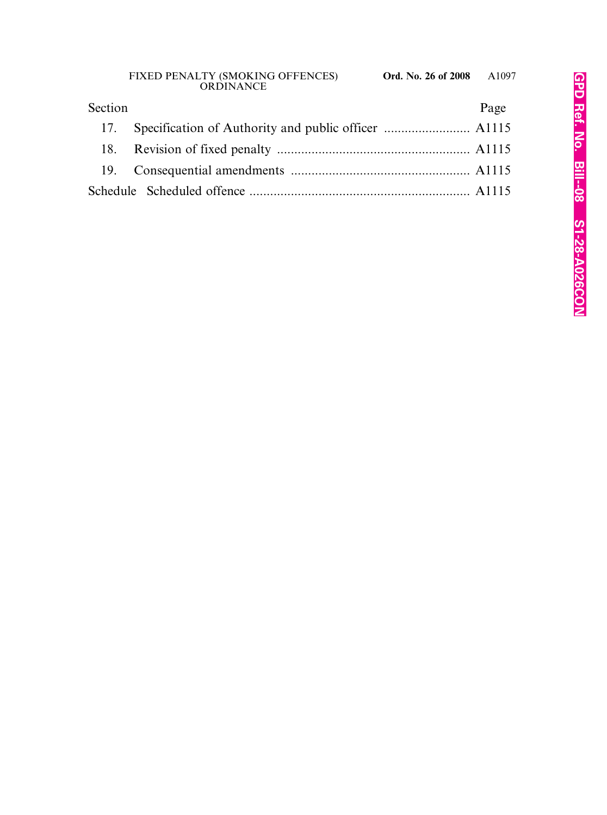| Section | Page |
|---------|------|
|         |      |
|         |      |
|         |      |
|         |      |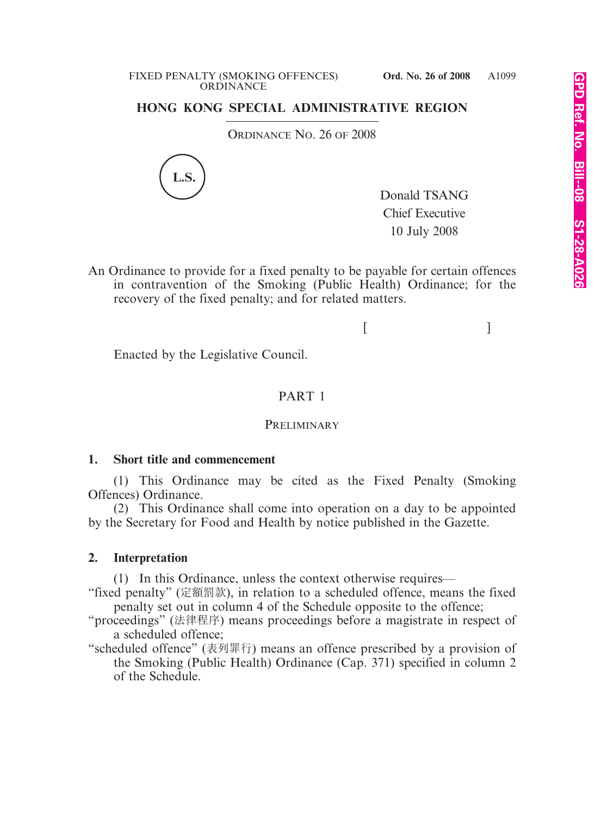# **HONG KONG SPECIAL ADMINISTRATIVE REGION**

ORDINANCE NO. 26 OF 2008



Donald TSANG Chief Executive 10 July 2008

An Ordinance to provide for a fixed penalty to be payable for certain offences in contravention of the Smoking (Public Health) Ordinance; for the recovery of the fixed penalty; and for related matters.

 $[$   $]$ 

Enacted by the Legislative Council.

# PART 1

#### **PRELIMINARY**

# **1. Short title and commencement**

(1) This Ordinance may be cited as the Fixed Penalty (Smoking Offences) Ordinance.

(2) This Ordinance shall come into operation on a day to be appointed by the Secretary for Food and Health by notice published in the Gazette.

# **2. Interpretation**

(1) In this Ordinance, unless the context otherwise requires—

"fixed penalty" (定額罰款), in relation to a scheduled offence, means the fixed penalty set out in column 4 of the Schedule opposite to the offence;

"proceedings" (法律程序) means proceedings before a magistrate in respect of a scheduled offence;

"scheduled offence" (表列罪行) means an offence prescribed by a provision of the Smoking (Public Health) Ordinance (Cap. 371) specified in column 2 of the Schedule.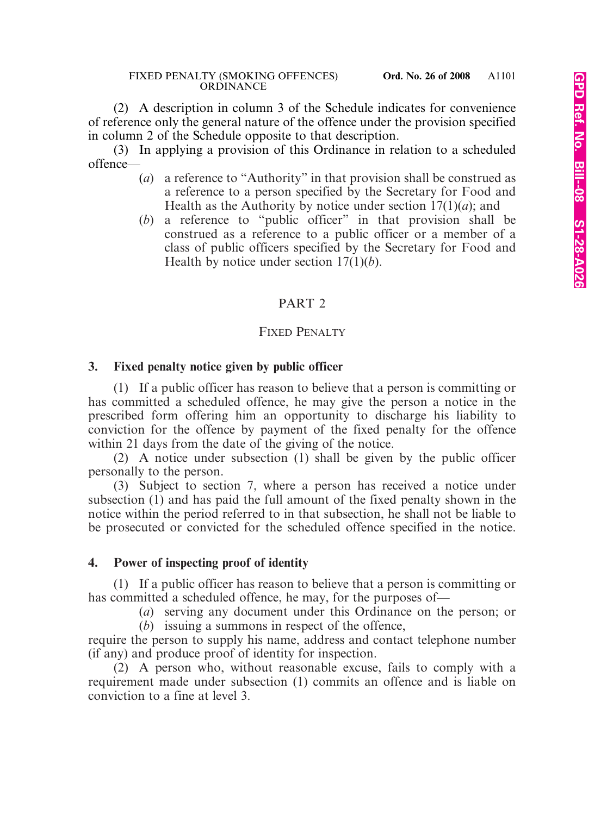(2) A description in column 3 of the Schedule indicates for convenience of reference only the general nature of the offence under the provision specified in column 2 of the Schedule opposite to that description.

(3) In applying a provision of this Ordinance in relation to a scheduled offence—

- (*a*) a reference to "Authority" in that provision shall be construed as a reference to a person specified by the Secretary for Food and Health as the Authority by notice under section  $17(1)(a)$ ; and
- (*b*) a reference to "public officer" in that provision shall be construed as a reference to a public officer or a member of a class of public officers specified by the Secretary for Food and Health by notice under section 17(1)(*b*).

# PART 2

# FIXED PENALTY

# **3. Fixed penalty notice given by public officer**

(1) If a public officer has reason to believe that a person is committing or has committed a scheduled offence, he may give the person a notice in the prescribed form offering him an opportunity to discharge his liability to conviction for the offence by payment of the fixed penalty for the offence within 21 days from the date of the giving of the notice.

(2) A notice under subsection (1) shall be given by the public officer personally to the person.

(3) Subject to section 7, where a person has received a notice under subsection (1) and has paid the full amount of the fixed penalty shown in the notice within the period referred to in that subsection, he shall not be liable to be prosecuted or convicted for the scheduled offence specified in the notice.

# **4. Power of inspecting proof of identity**

(1) If a public officer has reason to believe that a person is committing or has committed a scheduled offence, he may, for the purposes of—

(*a*) serving any document under this Ordinance on the person; or

(*b*) issuing a summons in respect of the offence, require the person to supply his name, address and contact telephone number (if any) and produce proof of identity for inspection.

(2) A person who, without reasonable excuse, fails to comply with a requirement made under subsection (1) commits an offence and is liable on conviction to a fine at level 3.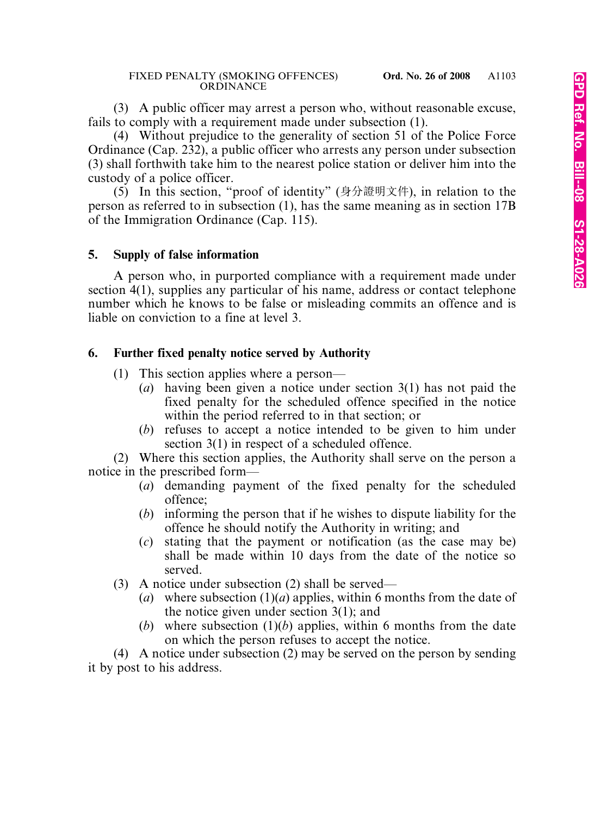(3) A public officer may arrest a person who, without reasonable excuse, fails to comply with a requirement made under subsection (1).

(4) Without prejudice to the generality of section 51 of the Police Force Ordinance (Cap. 232), a public officer who arrests any person under subsection (3) shall forthwith take him to the nearest police station or deliver him into the custody of a police officer.

(5) In this section, "proof of identity" (身分證明文件), in relation to the person as referred to in subsection (1), has the same meaning as in section 17B of the Immigration Ordinance (Cap. 115).

# **5. Supply of false information**

A person who, in purported compliance with a requirement made under section 4(1), supplies any particular of his name, address or contact telephone number which he knows to be false or misleading commits an offence and is liable on conviction to a fine at level 3.

# **6. Further fixed penalty notice served by Authority**

- (1) This section applies where a person—
	- (*a*) having been given a notice under section 3(1) has not paid the fixed penalty for the scheduled offence specified in the notice within the period referred to in that section; or
	- (*b*) refuses to accept a notice intended to be given to him under section 3(1) in respect of a scheduled offence.

(2) Where this section applies, the Authority shall serve on the person a notice in the prescribed form—

- (*a*) demanding payment of the fixed penalty for the scheduled offence;
- (*b*) informing the person that if he wishes to dispute liability for the offence he should notify the Authority in writing; and
- (*c*) stating that the payment or notification (as the case may be) shall be made within 10 days from the date of the notice so served.
- (3) A notice under subsection (2) shall be served—
	- (*a*) where subsection (1)(*a*) applies, within 6 months from the date of the notice given under section 3(1); and
	- (*b*) where subsection  $(1)(b)$  applies, within 6 months from the date on which the person refuses to accept the notice.

(4) A notice under subsection (2) may be served on the person by sending it by post to his address.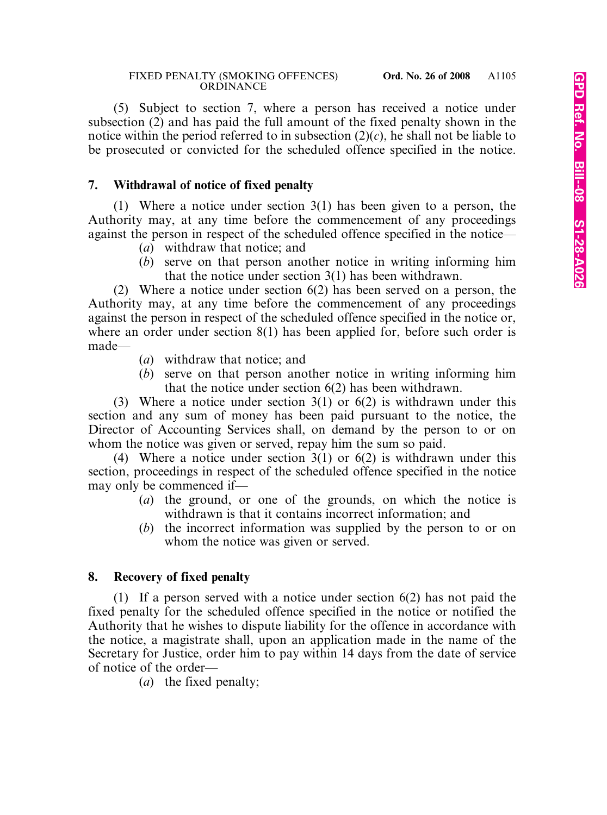(5) Subject to section 7, where a person has received a notice under subsection (2) and has paid the full amount of the fixed penalty shown in the notice within the period referred to in subsection  $(2)(c)$ , he shall not be liable to be prosecuted or convicted for the scheduled offence specified in the notice.

# **7. Withdrawal of notice of fixed penalty**

(1) Where a notice under section 3(1) has been given to a person, the Authority may, at any time before the commencement of any proceedings against the person in respect of the scheduled offence specified in the notice—

- (*a*) withdraw that notice; and
- (*b*) serve on that person another notice in writing informing him that the notice under section 3(1) has been withdrawn.

(2) Where a notice under section 6(2) has been served on a person, the Authority may, at any time before the commencement of any proceedings against the person in respect of the scheduled offence specified in the notice or, where an order under section 8(1) has been applied for, before such order is made—

- (*a*) withdraw that notice; and
- (*b*) serve on that person another notice in writing informing him that the notice under section 6(2) has been withdrawn.

(3) Where a notice under section 3(1) or 6(2) is withdrawn under this section and any sum of money has been paid pursuant to the notice, the Director of Accounting Services shall, on demand by the person to or on whom the notice was given or served, repay him the sum so paid.

(4) Where a notice under section 3(1) or 6(2) is withdrawn under this section, proceedings in respect of the scheduled offence specified in the notice may only be commenced if—

- (*a*) the ground, or one of the grounds, on which the notice is withdrawn is that it contains incorrect information; and
- (*b*) the incorrect information was supplied by the person to or on whom the notice was given or served.

# **8. Recovery of fixed penalty**

(1) If a person served with a notice under section 6(2) has not paid the fixed penalty for the scheduled offence specified in the notice or notified the Authority that he wishes to dispute liability for the offence in accordance with the notice, a magistrate shall, upon an application made in the name of the Secretary for Justice, order him to pay within 14 days from the date of service of notice of the order—

(*a*) the fixed penalty;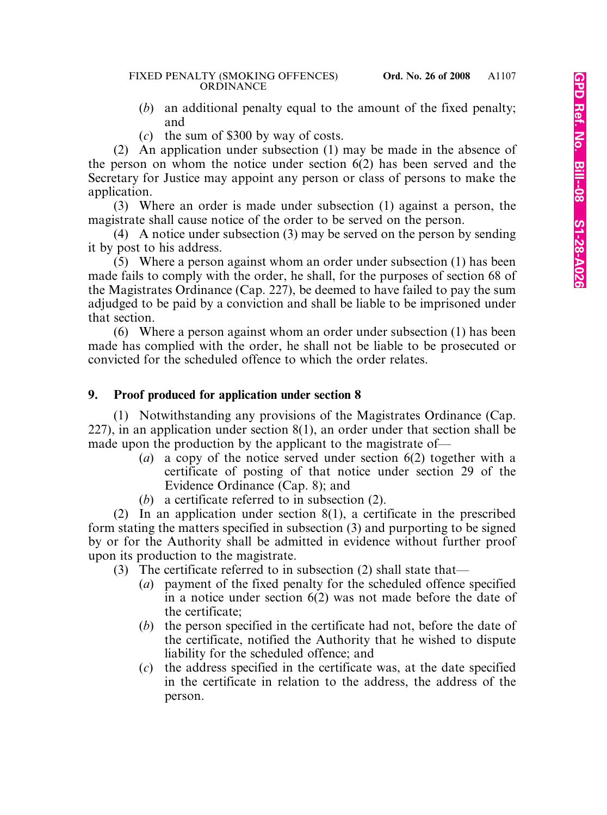- (*b*) an additional penalty equal to the amount of the fixed penalty; and
- (*c*) the sum of \$300 by way of costs.

(2) An application under subsection (1) may be made in the absence of the person on whom the notice under section 6(2) has been served and the Secretary for Justice may appoint any person or class of persons to make the application.

(3) Where an order is made under subsection (1) against a person, the magistrate shall cause notice of the order to be served on the person.

(4) A notice under subsection (3) may be served on the person by sending it by post to his address.

(5) Where a person against whom an order under subsection (1) has been made fails to comply with the order, he shall, for the purposes of section 68 of the Magistrates Ordinance (Cap. 227), be deemed to have failed to pay the sum adjudged to be paid by a conviction and shall be liable to be imprisoned under that section.

(6) Where a person against whom an order under subsection (1) has been made has complied with the order, he shall not be liable to be prosecuted or convicted for the scheduled offence to which the order relates.

# **9. Proof produced for application under section 8**

(1) Notwithstanding any provisions of the Magistrates Ordinance (Cap. 227), in an application under section 8(1), an order under that section shall be made upon the production by the applicant to the magistrate of—

- (*a*) a copy of the notice served under section 6(2) together with a certificate of posting of that notice under section 29 of the Evidence Ordinance (Cap. 8); and
- (*b*) a certificate referred to in subsection (2).

(2) In an application under section 8(1), a certificate in the prescribed form stating the matters specified in subsection (3) and purporting to be signed by or for the Authority shall be admitted in evidence without further proof upon its production to the magistrate.

(3) The certificate referred to in subsection (2) shall state that—

- (*a*) payment of the fixed penalty for the scheduled offence specified in a notice under section 6(2) was not made before the date of the certificate;
- (*b*) the person specified in the certificate had not, before the date of the certificate, notified the Authority that he wished to dispute liability for the scheduled offence; and
- (*c*) the address specified in the certificate was, at the date specified in the certificate in relation to the address, the address of the person.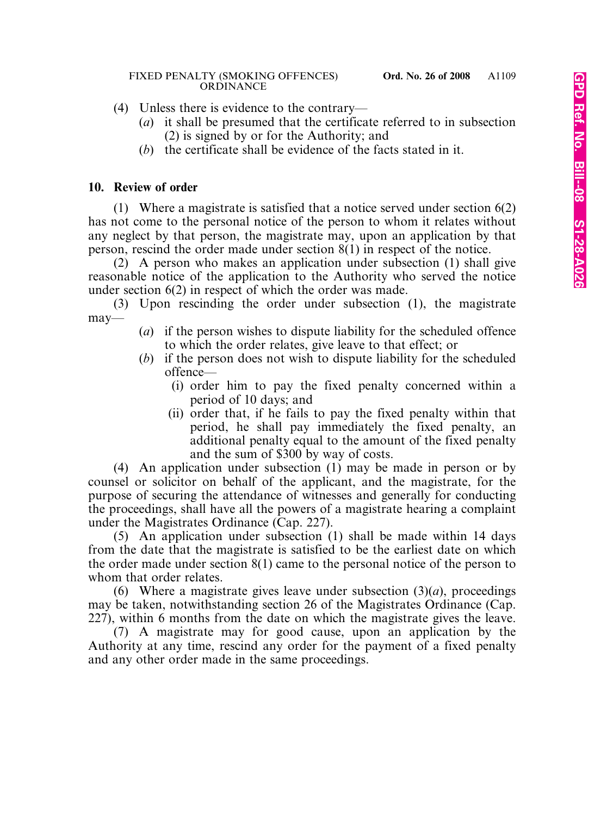- (4) Unless there is evidence to the contrary—
	- (*a*) it shall be presumed that the certificate referred to in subsection (2) is signed by or for the Authority; and
	- (*b*) the certificate shall be evidence of the facts stated in it.

# **10. Review of order**

(1) Where a magistrate is satisfied that a notice served under section 6(2) has not come to the personal notice of the person to whom it relates without any neglect by that person, the magistrate may, upon an application by that person, rescind the order made under section 8(1) in respect of the notice.

(2) A person who makes an application under subsection (1) shall give reasonable notice of the application to the Authority who served the notice under section 6(2) in respect of which the order was made.

(3) Upon rescinding the order under subsection (1), the magistrate may—

- (*a*) if the person wishes to dispute liability for the scheduled offence to which the order relates, give leave to that effect; or
- (*b*) if the person does not wish to dispute liability for the scheduled offence—
	- (i) order him to pay the fixed penalty concerned within a period of 10 days; and
	- (ii) order that, if he fails to pay the fixed penalty within that period, he shall pay immediately the fixed penalty, an additional penalty equal to the amount of the fixed penalty and the sum of \$300 by way of costs.

(4) An application under subsection (1) may be made in person or by counsel or solicitor on behalf of the applicant, and the magistrate, for the purpose of securing the attendance of witnesses and generally for conducting the proceedings, shall have all the powers of a magistrate hearing a complaint under the Magistrates Ordinance (Cap. 227).

(5) An application under subsection (1) shall be made within 14 days from the date that the magistrate is satisfied to be the earliest date on which the order made under section 8(1) came to the personal notice of the person to whom that order relates.

(6) Where a magistrate gives leave under subsection  $(3)(a)$ , proceedings may be taken, notwithstanding section 26 of the Magistrates Ordinance (Cap. 227), within 6 months from the date on which the magistrate gives the leave.

(7) A magistrate may for good cause, upon an application by the Authority at any time, rescind any order for the payment of a fixed penalty and any other order made in the same proceedings.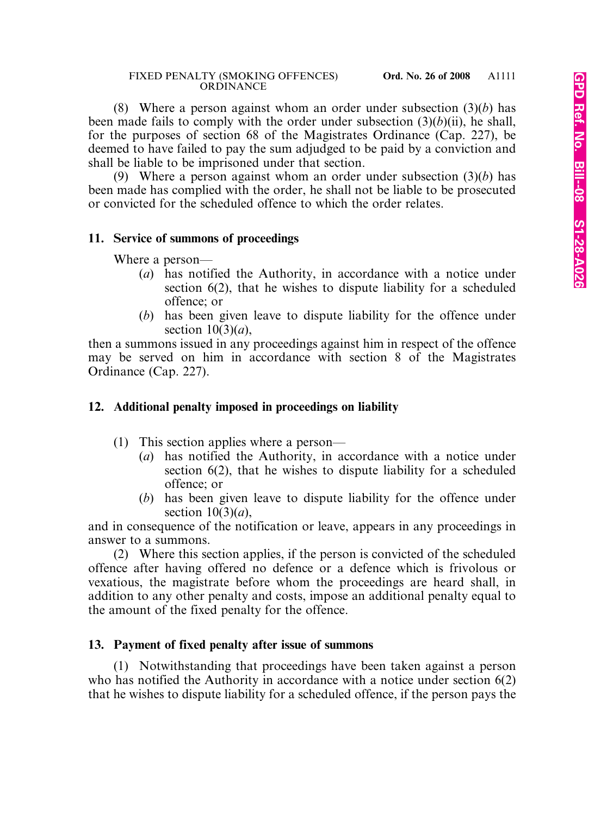(8) Where a person against whom an order under subsection (3)(*b*) has been made fails to comply with the order under subsection (3)(*b*)(ii), he shall, for the purposes of section 68 of the Magistrates Ordinance (Cap. 227), be deemed to have failed to pay the sum adjudged to be paid by a conviction and shall be liable to be imprisoned under that section.

(9) Where a person against whom an order under subsection (3)(*b*) has been made has complied with the order, he shall not be liable to be prosecuted or convicted for the scheduled offence to which the order relates.

# **11. Service of summons of proceedings**

Where a person—

- (*a*) has notified the Authority, in accordance with a notice under section 6(2), that he wishes to dispute liability for a scheduled offence; or
- (*b*) has been given leave to dispute liability for the offence under section 10(3)(*a*),

then a summons issued in any proceedings against him in respect of the offence may be served on him in accordance with section 8 of the Magistrates Ordinance (Cap. 227).

# **12. Additional penalty imposed in proceedings on liability**

- (1) This section applies where a person—
	- (*a*) has notified the Authority, in accordance with a notice under section 6(2), that he wishes to dispute liability for a scheduled offence; or
	- (*b*) has been given leave to dispute liability for the offence under section  $10(3)(a)$ ,

and in consequence of the notification or leave, appears in any proceedings in answer to a summons.

(2) Where this section applies, if the person is convicted of the scheduled offence after having offered no defence or a defence which is frivolous or vexatious, the magistrate before whom the proceedings are heard shall, in addition to any other penalty and costs, impose an additional penalty equal to the amount of the fixed penalty for the offence.

# **13. Payment of fixed penalty after issue of summons**

(1) Notwithstanding that proceedings have been taken against a person who has notified the Authority in accordance with a notice under section 6(2) that he wishes to dispute liability for a scheduled offence, if the person pays the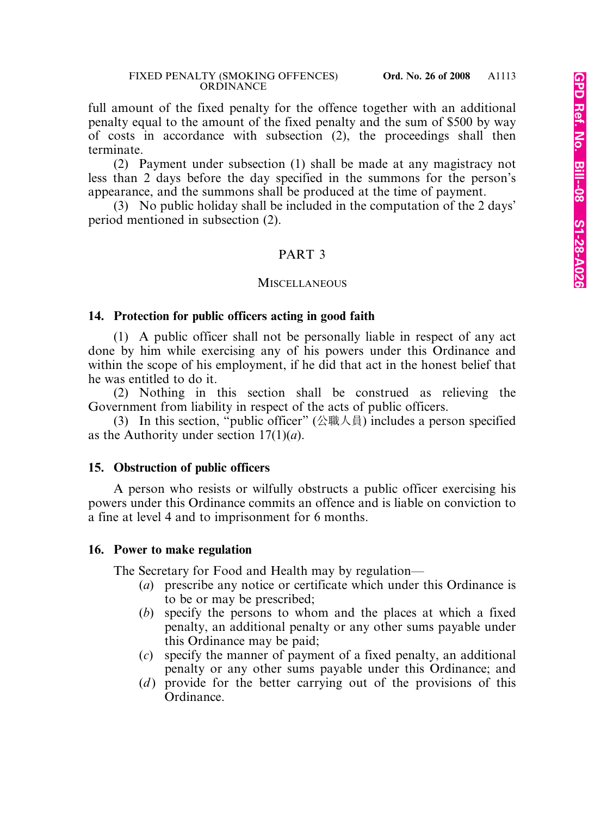full amount of the fixed penalty for the offence together with an additional penalty equal to the amount of the fixed penalty and the sum of \$500 by way of costs in accordance with subsection (2), the proceedings shall then terminate.

(2) Payment under subsection (1) shall be made at any magistracy not less than 2 days before the day specified in the summons for the person's appearance, and the summons shall be produced at the time of payment.

(3) No public holiday shall be included in the computation of the 2 days' period mentioned in subsection (2).

# PART 3

#### **MISCELLANEOUS**

#### **14. Protection for public officers acting in good faith**

(1) A public officer shall not be personally liable in respect of any act done by him while exercising any of his powers under this Ordinance and within the scope of his employment, if he did that act in the honest belief that he was entitled to do it.

(2) Nothing in this section shall be construed as relieving the Government from liability in respect of the acts of public officers.

(3) In this section, "public officer" (公職人員) includes a person specified as the Authority under section 17(1)(*a*).

# **15. Obstruction of public officers**

A person who resists or wilfully obstructs a public officer exercising his powers under this Ordinance commits an offence and is liable on conviction to a fine at level 4 and to imprisonment for 6 months.

# **16. Power to make regulation**

The Secretary for Food and Health may by regulation—

- (*a*) prescribe any notice or certificate which under this Ordinance is to be or may be prescribed;
- (*b*) specify the persons to whom and the places at which a fixed penalty, an additional penalty or any other sums payable under this Ordinance may be paid;
- (*c*) specify the manner of payment of a fixed penalty, an additional penalty or any other sums payable under this Ordinance; and
- (*d*) provide for the better carrying out of the provisions of this Ordinance.